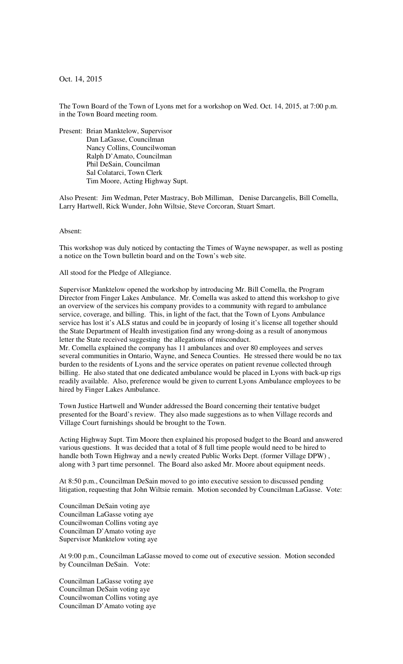Oct. 14, 2015

The Town Board of the Town of Lyons met for a workshop on Wed. Oct. 14, 2015, at 7:00 p.m. in the Town Board meeting room.

Present: Brian Manktelow, Supervisor Dan LaGasse, Councilman Nancy Collins, Councilwoman Ralph D'Amato, Councilman Phil DeSain, Councilman Sal Colatarci, Town Clerk Tim Moore, Acting Highway Supt.

Also Present: Jim Wedman, Peter Mastracy, Bob Milliman, Denise Darcangelis, Bill Comella, Larry Hartwell, Rick Wunder, John Wiltsie, Steve Corcoran, Stuart Smart.

Absent:

This workshop was duly noticed by contacting the Times of Wayne newspaper, as well as posting a notice on the Town bulletin board and on the Town's web site.

All stood for the Pledge of Allegiance.

Supervisor Manktelow opened the workshop by introducing Mr. Bill Comella, the Program Director from Finger Lakes Ambulance. Mr. Comella was asked to attend this workshop to give an overview of the services his company provides to a community with regard to ambulance service, coverage, and billing. This, in light of the fact, that the Town of Lyons Ambulance service has lost it's ALS status and could be in jeopardy of losing it's license all together should the State Department of Health investigation find any wrong-doing as a result of anonymous letter the State received suggesting the allegations of misconduct.

Mr. Comella explained the company has 11 ambulances and over 80 employees and serves several communities in Ontario, Wayne, and Seneca Counties. He stressed there would be no tax burden to the residents of Lyons and the service operates on patient revenue collected through billing. He also stated that one dedicated ambulance would be placed in Lyons with back-up rigs readily available. Also, preference would be given to current Lyons Ambulance employees to be hired by Finger Lakes Ambulance.

Town Justice Hartwell and Wunder addressed the Board concerning their tentative budget presented for the Board's review. They also made suggestions as to when Village records and Village Court furnishings should be brought to the Town.

Acting Highway Supt. Tim Moore then explained his proposed budget to the Board and answered various questions. It was decided that a total of 8 full time people would need to be hired to handle both Town Highway and a newly created Public Works Dept. (former Village DPW) , along with 3 part time personnel. The Board also asked Mr. Moore about equipment needs.

At 8:50 p.m., Councilman DeSain moved to go into executive session to discussed pending litigation, requesting that John Wiltsie remain. Motion seconded by Councilman LaGasse. Vote:

Councilman DeSain voting aye Councilman LaGasse voting aye Councilwoman Collins voting aye Councilman D'Amato voting aye Supervisor Manktelow voting aye

At 9:00 p.m., Councilman LaGasse moved to come out of executive session. Motion seconded by Councilman DeSain. Vote:

Councilman LaGasse voting aye Councilman DeSain voting aye Councilwoman Collins voting aye Councilman D'Amato voting aye